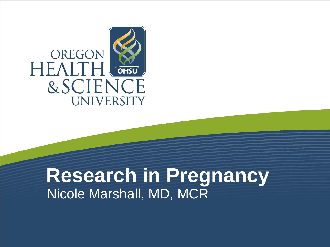

### **Research in Pregnancy** Nicole Marshall, MD, MCR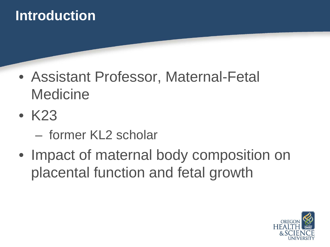#### **Introduction**

- Assistant Professor, Maternal-Fetal Medicine
- K23
	- former KL2 scholar
- Impact of maternal body composition on placental function and fetal growth

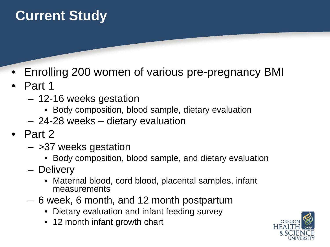### **Current Study**

- Enrolling 200 women of various pre-pregnancy BMI
- Part 1
	- 12-16 weeks gestation
		- Body composition, blood sample, dietary evaluation
	- 24-28 weeks dietary evaluation
- Part 2
	- >37 weeks gestation
		- Body composition, blood sample, and dietary evaluation
	- Delivery
		- Maternal blood, cord blood, placental samples, infant measurements
	- 6 week, 6 month, and 12 month postpartum
		- Dietary evaluation and infant feeding survey
		- 12 month infant growth chart

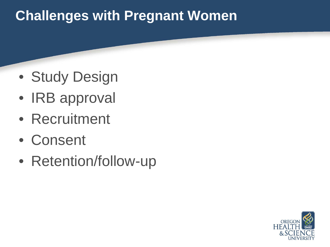### **Challenges with Pregnant Women**

- Study Design
- IRB approval
- Recruitment
- Consent
- Retention/follow-up

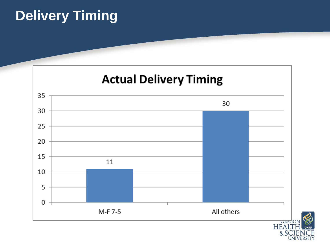### **Delivery Timing**



 $&S$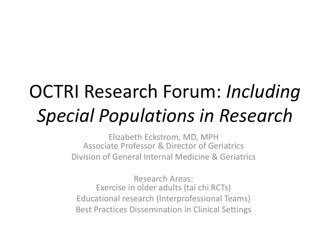# OCTRI Research Forum: *Including Special Populations in Research*

Elizabeth Eckstrom, MD, MPH Associate Professor & Director of Geriatrics Division of General Internal Medicine & Geriatrics

Research Areas: Exercise in older adults (tai chi RCTs) Educational research (Interprofessional Teams) Best Practices Dissemination in Clinical Settings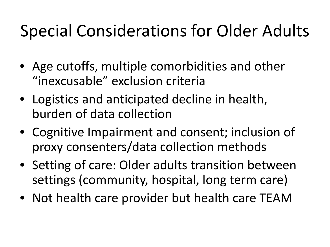## Special Considerations for Older Adults

- Age cutoffs, multiple comorbidities and other "inexcusable" exclusion criteria
- Logistics and anticipated decline in health, burden of data collection
- Cognitive Impairment and consent; inclusion of proxy consenters/data collection methods
- Setting of care: Older adults transition between settings (community, hospital, long term care)
- Not health care provider but health care TEAM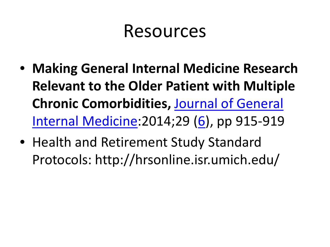### Resources

- **Making General Internal Medicine Research Relevant to the Older Patient with Multiple Chronic Comorbidities,** [Journal of General](http://link.springer.com/journal/11606)  [Internal Medicine](http://link.springer.com/journal/11606):2014;29 [\(6](http://link.springer.com/journal/11606/29/6/page/1)), pp 915-919
- Health and Retirement Study Standard Protocols: http://hrsonline.isr.umich.edu/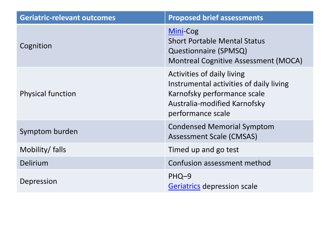| <b>Geriatric-relevant outcomes</b> | <b>Proposed brief assessments</b>                                                                                                                         |
|------------------------------------|-----------------------------------------------------------------------------------------------------------------------------------------------------------|
| Cognition                          | Mini-Cog<br><b>Short Portable Mental Status</b><br><b>Questionnaire (SPMSQ)</b><br><b>Montreal Cognitive Assessment (MOCA)</b>                            |
| <b>Physical function</b>           | Activities of daily living<br>Instrumental activities of daily living<br>Karnofsky performance scale<br>Australia-modified Karnofsky<br>performance scale |
| Symptom burden                     | <b>Condensed Memorial Symptom</b><br><b>Assessment Scale (CMSAS)</b>                                                                                      |
| Mobility/ falls                    | Timed up and go test                                                                                                                                      |
| Delirium                           | Confusion assessment method                                                                                                                               |
| Depression                         | PHQ-9<br>Geriatrics depression scale                                                                                                                      |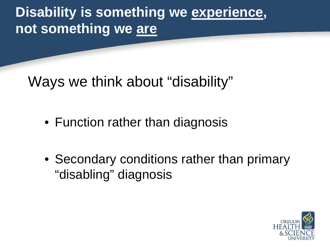**Disability is something we experience, not something we are**

Ways we think about "disability"

- Function rather than diagnosis
- Secondary conditions rather than primary "disabling" diagnosis

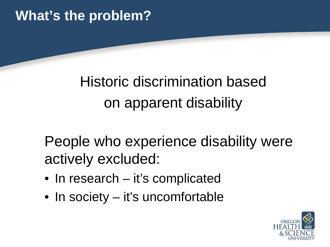### **What's the problem?**

### Historic discrimination based on apparent disability

People who experience disability were actively excluded:

- In research it's complicated
- In society it's uncomfortable

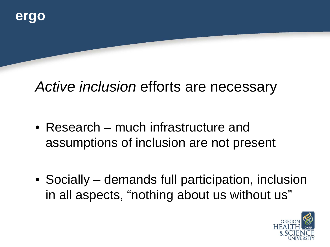### *Active inclusion* efforts are necessary

- Research much infrastructure and assumptions of inclusion are not present
- Socially demands full participation, inclusion in all aspects, "nothing about us without us"

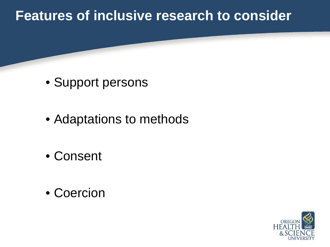#### **Features of inclusive research to consider**

- Support persons
- Adaptations to methods
- Consent
- Coercion